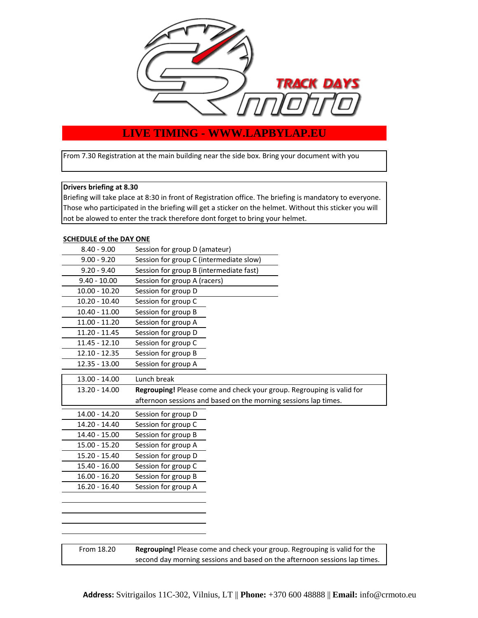

# **LIVE TIMING - WWW.LAPBYLAP.EU**

From 7.30 Registration at the main building near the side box. Bring your document with you

### **Drivers briefing at 8.30**

Briefing will take place at 8:30 in front of Registration office. The briefing is mandatory to everyone. Those who participated in the briefing will get a sticker on the helmet. Without this sticker you will not be alowed to enter the track therefore dont forget to bring your helmet.

#### **SCHEDULE of the DAY ONE**

| $8.40 - 9.00$   | Session for group D (amateur)           |                                                                       |
|-----------------|-----------------------------------------|-----------------------------------------------------------------------|
| $9.00 - 9.20$   | Session for group C (intermediate slow) |                                                                       |
| $9.20 - 9.40$   | Session for group B (intermediate fast) |                                                                       |
| $9.40 - 10.00$  | Session for group A (racers)            |                                                                       |
| $10.00 - 10.20$ | Session for group D                     |                                                                       |
| $10.20 - 10.40$ | Session for group C                     |                                                                       |
| $10.40 - 11.00$ | Session for group B                     |                                                                       |
| 11.00 - 11.20   | Session for group A                     |                                                                       |
| 11.20 - 11.45   | Session for group D                     |                                                                       |
| 11.45 - 12.10   | Session for group C                     |                                                                       |
| 12.10 - 12.35   | Session for group B                     |                                                                       |
| 12.35 - 13.00   | Session for group A                     |                                                                       |
| $13.00 - 14.00$ | Lunch break                             |                                                                       |
| 13.20 - 14.00   |                                         | Regrouping! Please come and check your group. Regrouping is valid for |
|                 |                                         |                                                                       |
|                 |                                         |                                                                       |
|                 |                                         | afternoon sessions and based on the morning sessions lap times.       |
| 14.00 - 14.20   | Session for group D                     |                                                                       |
| 14.20 - 14.40   | Session for group C                     |                                                                       |
| 14.40 - 15.00   | Session for group B                     |                                                                       |
| 15.00 - 15.20   | Session for group A                     |                                                                       |
| 15.20 - 15.40   | Session for group D                     |                                                                       |
| 15.40 - 16.00   | Session for group C                     |                                                                       |
| 16.00 - 16.20   | Session for group B                     |                                                                       |
| 16.20 - 16.40   | Session for group A                     |                                                                       |
|                 |                                         |                                                                       |
|                 |                                         |                                                                       |
|                 |                                         |                                                                       |
|                 |                                         |                                                                       |

From 18.20

**Regrouping!** Please come and check your group. Regrouping is valid for the second day morning sessions and based on the afternoon sessions lap times.